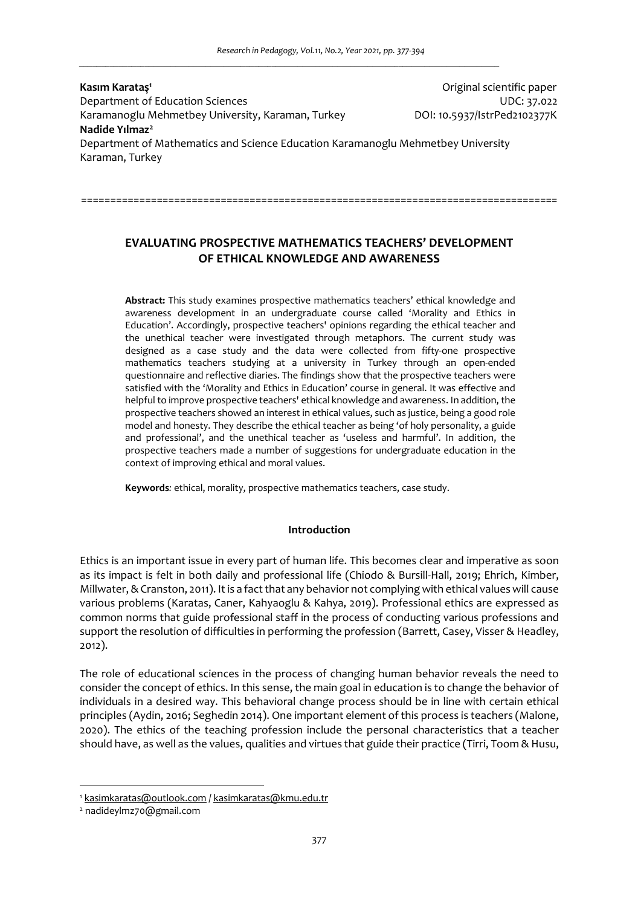**Kasım Karataş<sup>1</sup>** Original scientific paper Department of Education Sciences UDC: 37.022 Karamanoglu Mehmetbey University, Karaman, Turkey DOI: 10.5937/IstrPed2102377K **Nadide Yılmaz<sup>2</sup>** Department of Mathematics and Science Education Karamanoglu Mehmetbey University Karaman, Turkey

**EVALUATING PROSPECTIVE MATHEMATICS TEACHERS' DEVELOPMENT OF ETHICAL KNOWLEDGE AND AWARENESS** 

==================================================================================

**Abstract:** This study examines prospective mathematics teachers' ethical knowledge and awareness development in an undergraduate course called 'Morality and Ethics in Education'. Accordingly, prospective teachers' opinions regarding the ethical teacher and the unethical teacher were investigated through metaphors. The current study was designed as a case study and the data were collected from fifty-one prospective mathematics teachers studying at a university in Turkey through an open-ended questionnaire and reflective diaries. The findings show that the prospective teachers were satisfied with the 'Morality and Ethics in Education' course in general. It was effective and helpful to improve prospective teachers' ethical knowledge and awareness. In addition, the prospective teachers showed an interest in ethical values, such as justice, being a good role model and honesty. They describe the ethical teacher as being 'of holy personality, a guide and professional', and the unethical teacher as 'useless and harmful'. In addition, the prospective teachers made a number of suggestions for undergraduate education in the context of improving ethical and moral values.

**Keywords***:* ethical, morality, prospective mathematics teachers, case study.

# **Introduction**

Ethics is an important issue in every part of human life. This becomes clear and imperative as soon as its impact is felt in both daily and professional life (Chiodo & Bursill-Hall, 2019; Ehrich, Kimber, Millwater, & Cranston, 2011). It is a fact that any behavior not complying with ethical values will cause various problems (Karatas, Caner, Kahyaoglu & Kahya, 2019). Professional ethics are expressed as common norms that guide professional staff in the process of conducting various professions and support the resolution of difficulties in performing the profession (Barrett, Casey, Visser & Headley, 2012).

The role of educational sciences in the process of changing human behavior reveals the need to consider the concept of ethics. In this sense, the main goal in education is to change the behavior of individuals in a desired way. This behavioral change process should be in line with certain ethical principles (Aydin, 2016; Seghedin 2014). One important element of this process is teachers (Malone, 2020). The ethics of the teaching profession include the personal characteristics that a teacher should have, as well as the values, qualities and virtues that guide their practice (Tirri, Toom & Husu,

<sup>1</sup> kasimkaratas@outlook.com / kasimkaratas@kmu.edu.tr

<sup>2</sup> nadideylmz70@gmail.com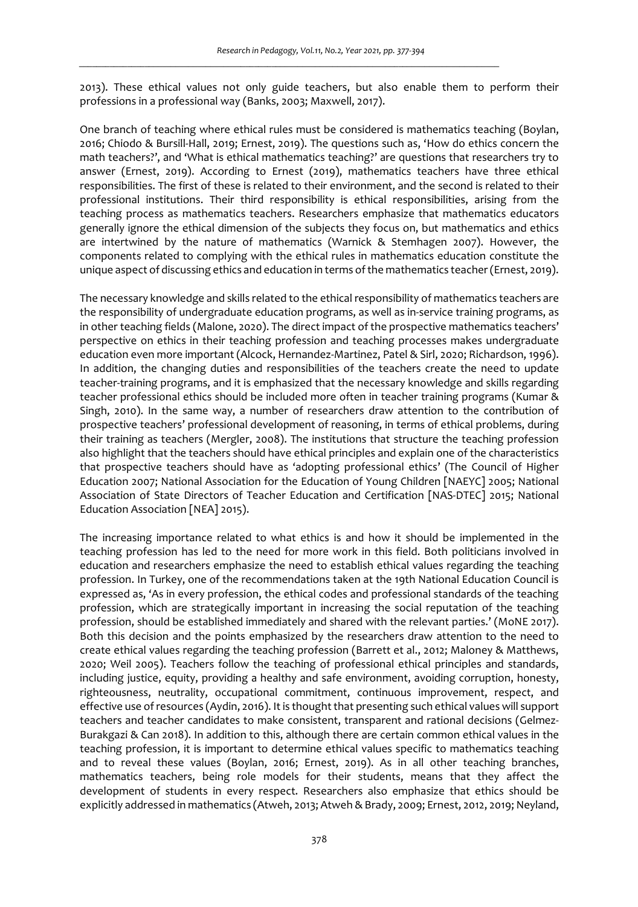2013). These ethical values not only guide teachers, but also enable them to perform their professions in a professional way (Banks, 2003; Maxwell, 2017).

One branch of teaching where ethical rules must be considered is mathematics teaching (Boylan, 2016; Chiodo & Bursill-Hall, 2019; Ernest, 2019). The questions such as, 'How do ethics concern the math teachers?', and 'What is ethical mathematics teaching?' are questions that researchers try to answer (Ernest, 2019). According to Ernest (2019), mathematics teachers have three ethical responsibilities. The first of these is related to their environment, and the second is related to their professional institutions. Their third responsibility is ethical responsibilities, arising from the teaching process as mathematics teachers. Researchers emphasize that mathematics educators generally ignore the ethical dimension of the subjects they focus on, but mathematics and ethics are intertwined by the nature of mathematics (Warnick & Stemhagen 2007). However, the components related to complying with the ethical rules in mathematics education constitute the unique aspect of discussing ethics and education in terms of the mathematics teacher (Ernest, 2019).

The necessary knowledge and skills related to the ethical responsibility of mathematics teachers are the responsibility of undergraduate education programs, as well as in-service training programs, as in other teaching fields (Malone, 2020). The direct impact of the prospective mathematics teachers' perspective on ethics in their teaching profession and teaching processes makes undergraduate education even more important (Alcock, Hernandez-Martinez, Patel & Sirl, 2020; Richardson, 1996). In addition, the changing duties and responsibilities of the teachers create the need to update teacher-training programs, and it is emphasized that the necessary knowledge and skills regarding teacher professional ethics should be included more often in teacher training programs (Kumar & Singh, 2010). In the same way, a number of researchers draw attention to the contribution of prospective teachers' professional development of reasoning, in terms of ethical problems, during their training as teachers (Mergler, 2008). The institutions that structure the teaching profession also highlight that the teachers should have ethical principles and explain one of the characteristics that prospective teachers should have as 'adopting professional ethics' (The Council of Higher Education 2007; National Association for the Education of Young Children [NAEYC] 2005; National Association of State Directors of Teacher Education and Certification [NAS-DTEC] 2015; National Education Association [NEA] 2015).

The increasing importance related to what ethics is and how it should be implemented in the teaching profession has led to the need for more work in this field. Both politicians involved in education and researchers emphasize the need to establish ethical values regarding the teaching profession. In Turkey, one of the recommendations taken at the 19th National Education Council is expressed as, 'As in every profession, the ethical codes and professional standards of the teaching profession, which are strategically important in increasing the social reputation of the teaching profession, should be established immediately and shared with the relevant parties.' (MoNE 2017). Both this decision and the points emphasized by the researchers draw attention to the need to create ethical values regarding the teaching profession (Barrett et al., 2012; Maloney & Matthews, 2020; Weil 2005). Teachers follow the teaching of professional ethical principles and standards, including justice, equity, providing a healthy and safe environment, avoiding corruption, honesty, righteousness, neutrality, occupational commitment, continuous improvement, respect, and effective use of resources (Aydin, 2016). It is thought that presenting such ethical values will support teachers and teacher candidates to make consistent, transparent and rational decisions (Gelmez-Burakgazi & Can 2018). In addition to this, although there are certain common ethical values in the teaching profession, it is important to determine ethical values specific to mathematics teaching and to reveal these values (Boylan, 2016; Ernest, 2019). As in all other teaching branches, mathematics teachers, being role models for their students, means that they affect the development of students in every respect. Researchers also emphasize that ethics should be explicitly addressed in mathematics (Atweh, 2013; Atweh & Brady, 2009; Ernest, 2012, 2019; Neyland,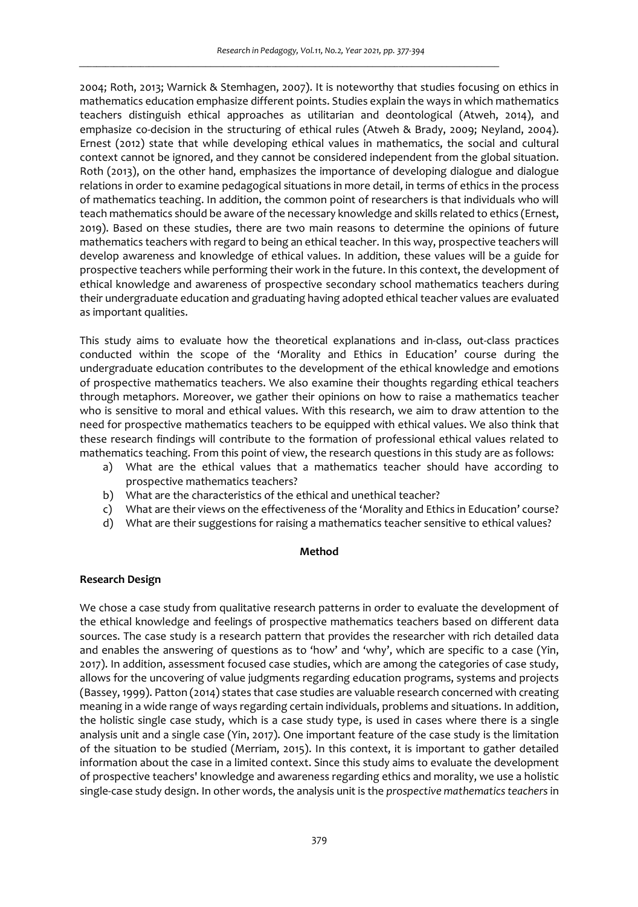2004; Roth, 2013; Warnick & Stemhagen, 2007). It is noteworthy that studies focusing on ethics in mathematics education emphasize different points. Studies explain the ways in which mathematics teachers distinguish ethical approaches as utilitarian and deontological (Atweh, 2014), and emphasize co-decision in the structuring of ethical rules (Atweh & Brady, 2009; Neyland, 2004). Ernest (2012) state that while developing ethical values in mathematics, the social and cultural context cannot be ignored, and they cannot be considered independent from the global situation. Roth (2013), on the other hand, emphasizes the importance of developing dialogue and dialogue relations in order to examine pedagogical situations in more detail, in terms of ethics in the process of mathematics teaching. In addition, the common point of researchers is that individuals who will teach mathematics should be aware of the necessary knowledge and skills related to ethics (Ernest, 2019). Based on these studies, there are two main reasons to determine the opinions of future mathematics teachers with regard to being an ethical teacher. In this way, prospective teachers will develop awareness and knowledge of ethical values. In addition, these values will be a guide for prospective teachers while performing their work in the future. In this context, the development of ethical knowledge and awareness of prospective secondary school mathematics teachers during their undergraduate education and graduating having adopted ethical teacher values are evaluated as important qualities.

This study aims to evaluate how the theoretical explanations and in-class, out-class practices conducted within the scope of the 'Morality and Ethics in Education' course during the undergraduate education contributes to the development of the ethical knowledge and emotions of prospective mathematics teachers. We also examine their thoughts regarding ethical teachers through metaphors. Moreover, we gather their opinions on how to raise a mathematics teacher who is sensitive to moral and ethical values. With this research, we aim to draw attention to the need for prospective mathematics teachers to be equipped with ethical values. We also think that these research findings will contribute to the formation of professional ethical values related to mathematics teaching. From this point of view, the research questions in this study are as follows:

- a) What are the ethical values that a mathematics teacher should have according to prospective mathematics teachers?
- b) What are the characteristics of the ethical and unethical teacher?
- c) What are their views on the effectiveness of the 'Morality and Ethics in Education' course?
- d) What are their suggestions for raising a mathematics teacher sensitive to ethical values?

# **Method**

# **Research Design**

We chose a case study from qualitative research patterns in order to evaluate the development of the ethical knowledge and feelings of prospective mathematics teachers based on different data sources. The case study is a research pattern that provides the researcher with rich detailed data and enables the answering of questions as to 'how' and 'why', which are specific to a case (Yin, 2017). In addition, assessment focused case studies, which are among the categories of case study, allows for the uncovering of value judgments regarding education programs, systems and projects (Bassey, 1999). Patton (2014) states that case studies are valuable research concerned with creating meaning in a wide range of ways regarding certain individuals, problems and situations. In addition, the holistic single case study, which is a case study type, is used in cases where there is a single analysis unit and a single case (Yin, 2017). One important feature of the case study is the limitation of the situation to be studied (Merriam, 2015). In this context, it is important to gather detailed information about the case in a limited context. Since this study aims to evaluate the development of prospective teachers' knowledge and awareness regarding ethics and morality, we use a holistic single-case study design. In other words, the analysis unit is the *prospective mathematics teachers* in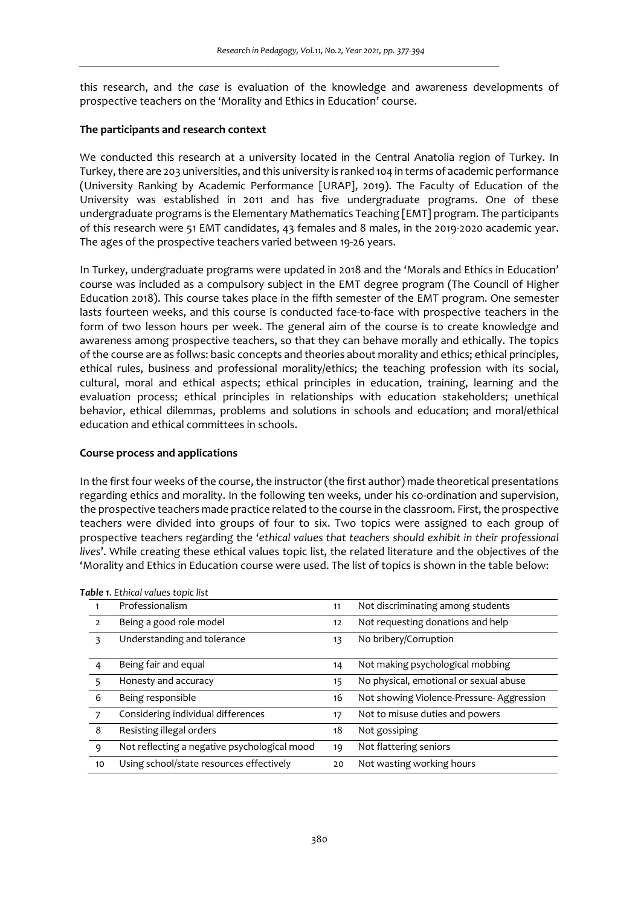this research, and *the case* is evaluation of the knowledge and awareness developments of prospective teachers on the 'Morality and Ethics in Education' course.

## **The participants and research context**

We conducted this research at a university located in the Central Anatolia region of Turkey. In Turkey, there are 203 universities, and this university is ranked 104 in terms of academic performance (University Ranking by Academic Performance [URAP], 2019). The Faculty of Education of the University was established in 2011 and has five undergraduate programs. One of these undergraduate programs is the Elementary Mathematics Teaching [EMT] program. The participants of this research were 51 EMT candidates, 43 females and 8 males, in the 2019-2020 academic year. The ages of the prospective teachers varied between 19-26 years.

In Turkey, undergraduate programs were updated in 2018 and the 'Morals and Ethics in Education' course was included as a compulsory subject in the EMT degree program (The Council of Higher Education 2018). This course takes place in the fifth semester of the EMT program. One semester lasts fourteen weeks, and this course is conducted face-to-face with prospective teachers in the form of two lesson hours per week. The general aim of the course is to create knowledge and awareness among prospective teachers, so that they can behave morally and ethically. The topics of the course are as follws: basic concepts and theories about morality and ethics; ethical principles, ethical rules, business and professional morality/ethics; the teaching profession with its social, cultural, moral and ethical aspects; ethical principles in education, training, learning and the evaluation process; ethical principles in relationships with education stakeholders; unethical behavior, ethical dilemmas, problems and solutions in schools and education; and moral/ethical education and ethical committees in schools.

## **Course process and applications**

In the first four weeks of the course, the instructor (the first author) made theoretical presentations regarding ethics and morality. In the following ten weeks, under his co-ordination and supervision, the prospective teachers made practice related to the course in the classroom. First, the prospective teachers were divided into groups of four to six. Two topics were assigned to each group of prospective teachers regarding the '*ethical values that teachers should exhibit in their professional lives*'. While creating these ethical values topic list, the related literature and the objectives of the 'Morality and Ethics in Education course were used. The list of topics is shown in the table below:

|                | <b>able 1.</b> Lullical values topic list    |    |                                          |  |  |  |
|----------------|----------------------------------------------|----|------------------------------------------|--|--|--|
| 1              | Professionalism                              | 11 | Not discriminating among students        |  |  |  |
| $\overline{2}$ | Being a good role model                      | 12 | Not requesting donations and help        |  |  |  |
| 3              | Understanding and tolerance                  | 13 | No bribery/Corruption                    |  |  |  |
| 4              | Being fair and equal                         | 14 | Not making psychological mobbing         |  |  |  |
| 5              | Honesty and accuracy                         | 15 | No physical, emotional or sexual abuse   |  |  |  |
| 6              | Being responsible                            | 16 | Not showing Violence-Pressure-Aggression |  |  |  |
| 7              | Considering individual differences           | 17 | Not to misuse duties and powers          |  |  |  |
| 8              | Resisting illegal orders                     | 18 | Not gossiping                            |  |  |  |
| 9              | Not reflecting a negative psychological mood | 19 | Not flattering seniors                   |  |  |  |
| 10             | Using school/state resources effectively     | 20 | Not wasting working hours                |  |  |  |
|                |                                              |    |                                          |  |  |  |

*Table 1. Ethical values topic list*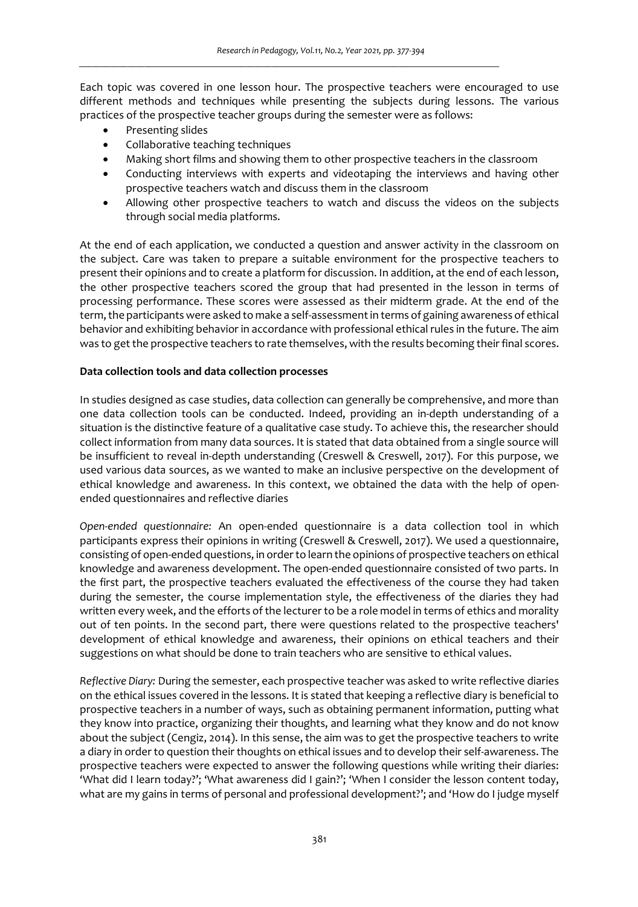Each topic was covered in one lesson hour. The prospective teachers were encouraged to use different methods and techniques while presenting the subjects during lessons. The various practices of the prospective teacher groups during the semester were as follows:

- Presenting slides
- Collaborative teaching techniques
- Making short films and showing them to other prospective teachers in the classroom
- Conducting interviews with experts and videotaping the interviews and having other prospective teachers watch and discuss them in the classroom
- Allowing other prospective teachers to watch and discuss the videos on the subjects through social media platforms.

At the end of each application, we conducted a question and answer activity in the classroom on the subject. Care was taken to prepare a suitable environment for the prospective teachers to present their opinions and to create a platform for discussion. In addition, at the end of each lesson, the other prospective teachers scored the group that had presented in the lesson in terms of processing performance. These scores were assessed as their midterm grade. At the end of the term, the participants were asked to make a self-assessment in terms of gaining awareness of ethical behavior and exhibiting behavior in accordance with professional ethical rules in the future. The aim was to get the prospective teachers to rate themselves, with the results becoming their final scores.

# **Data collection tools and data collection processes**

In studies designed as case studies, data collection can generally be comprehensive, and more than one data collection tools can be conducted. Indeed, providing an in-depth understanding of a situation is the distinctive feature of a qualitative case study. To achieve this, the researcher should collect information from many data sources. It is stated that data obtained from a single source will be insufficient to reveal in-depth understanding (Creswell & Creswell, 2017). For this purpose, we used various data sources, as we wanted to make an inclusive perspective on the development of ethical knowledge and awareness. In this context, we obtained the data with the help of openended questionnaires and reflective diaries

*Open-ended questionnaire:* An open-ended questionnaire is a data collection tool in which participants express their opinions in writing (Creswell & Creswell, 2017). We used a questionnaire, consisting of open-ended questions, in order to learn the opinions of prospective teachers on ethical knowledge and awareness development. The open-ended questionnaire consisted of two parts. In the first part, the prospective teachers evaluated the effectiveness of the course they had taken during the semester, the course implementation style, the effectiveness of the diaries they had written every week, and the efforts of the lecturer to be a role model in terms of ethics and morality out of ten points. In the second part, there were questions related to the prospective teachers' development of ethical knowledge and awareness, their opinions on ethical teachers and their suggestions on what should be done to train teachers who are sensitive to ethical values.

*Reflective Diary:* During the semester, each prospective teacher was asked to write reflective diaries on the ethical issues covered in the lessons. It is stated that keeping a reflective diary is beneficial to prospective teachers in a number of ways, such as obtaining permanent information, putting what they know into practice, organizing their thoughts, and learning what they know and do not know about the subject (Cengiz, 2014). In this sense, the aim was to get the prospective teachers to write a diary in order to question their thoughts on ethical issues and to develop their self-awareness. The prospective teachers were expected to answer the following questions while writing their diaries: 'What did I learn today?'; 'What awareness did I gain?'; 'When I consider the lesson content today, what are my gains in terms of personal and professional development?'; and 'How do I judge myself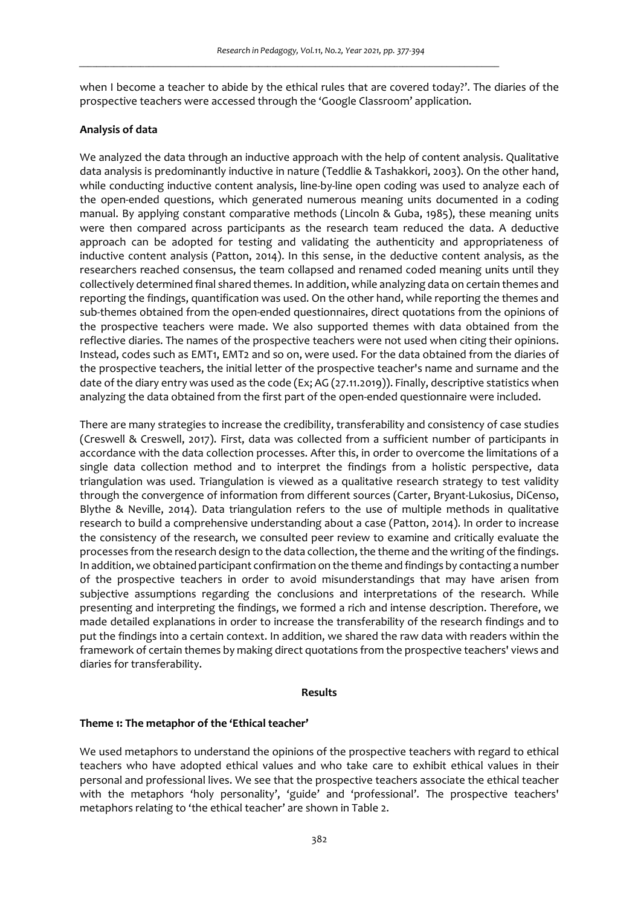when I become a teacher to abide by the ethical rules that are covered today?'. The diaries of the prospective teachers were accessed through the 'Google Classroom' application.

## **Analysis of data**

We analyzed the data through an inductive approach with the help of content analysis. Qualitative data analysis is predominantly inductive in nature (Teddlie & Tashakkori, 2003). On the other hand, while conducting inductive content analysis, line-by-line open coding was used to analyze each of the open-ended questions, which generated numerous meaning units documented in a coding manual. By applying constant comparative methods (Lincoln & Guba, 1985), these meaning units were then compared across participants as the research team reduced the data. A deductive approach can be adopted for testing and validating the authenticity and appropriateness of inductive content analysis (Patton, 2014). In this sense, in the deductive content analysis, as the researchers reached consensus, the team collapsed and renamed coded meaning units until they collectively determined final shared themes. In addition, while analyzing data on certain themes and reporting the findings, quantification was used. On the other hand, while reporting the themes and sub-themes obtained from the open-ended questionnaires, direct quotations from the opinions of the prospective teachers were made. We also supported themes with data obtained from the reflective diaries. The names of the prospective teachers were not used when citing their opinions. Instead, codes such as EMT1, EMT2 and so on, were used. For the data obtained from the diaries of the prospective teachers, the initial letter of the prospective teacher's name and surname and the date of the diary entry was used as the code (Ex; AG (27.11.2019)). Finally, descriptive statistics when analyzing the data obtained from the first part of the open-ended questionnaire were included.

There are many strategies to increase the credibility, transferability and consistency of case studies (Creswell & Creswell, 2017). First, data was collected from a sufficient number of participants in accordance with the data collection processes. After this, in order to overcome the limitations of a single data collection method and to interpret the findings from a holistic perspective, data triangulation was used. Triangulation is viewed as a qualitative research strategy to test validity through the convergence of information from different sources (Carter, Bryant-Lukosius, DiCenso, Blythe & Neville, 2014). Data triangulation refers to the use of multiple methods in qualitative research to build a comprehensive understanding about a case (Patton, 2014). In order to increase the consistency of the research, we consulted peer review to examine and critically evaluate the processes from the research design to the data collection, the theme and the writing of the findings. In addition, we obtained participant confirmation on the theme and findings by contacting a number of the prospective teachers in order to avoid misunderstandings that may have arisen from subjective assumptions regarding the conclusions and interpretations of the research. While presenting and interpreting the findings, we formed a rich and intense description. Therefore, we made detailed explanations in order to increase the transferability of the research findings and to put the findings into a certain context. In addition, we shared the raw data with readers within the framework of certain themes by making direct quotations from the prospective teachers' views and diaries for transferability.

### **Results**

### **Theme 1: The metaphor of the 'Ethical teacher'**

We used metaphors to understand the opinions of the prospective teachers with regard to ethical teachers who have adopted ethical values and who take care to exhibit ethical values in their personal and professional lives. We see that the prospective teachers associate the ethical teacher with the metaphors 'holy personality', 'guide' and 'professional'. The prospective teachers' metaphors relating to 'the ethical teacher' are shown in Table 2.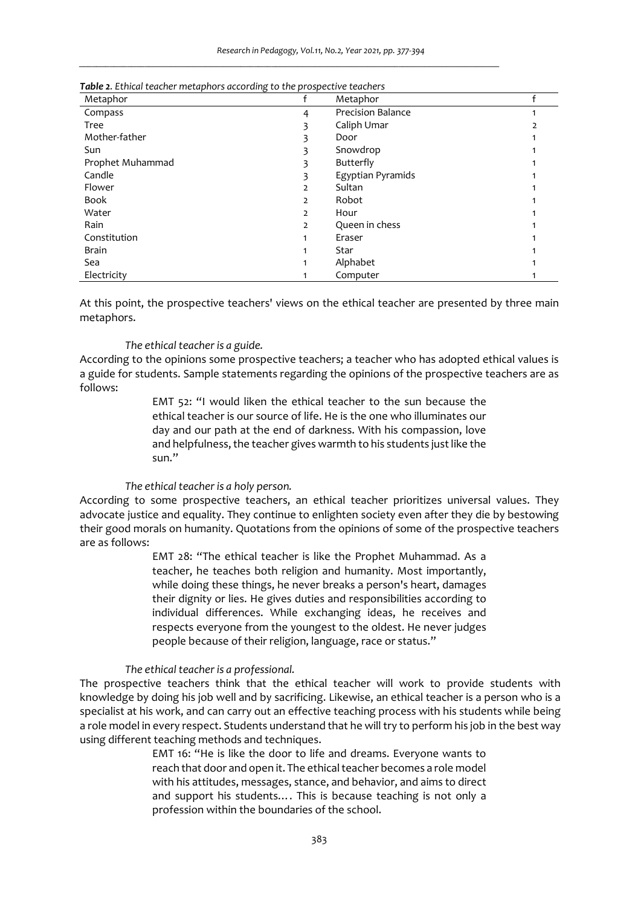| Metaphor         |                | Metaphor                 |  |
|------------------|----------------|--------------------------|--|
| Compass          | 4              | <b>Precision Balance</b> |  |
| Tree             |                | Caliph Umar              |  |
| Mother-father    |                | Door                     |  |
| Sun              |                | Snowdrop                 |  |
| Prophet Muhammad |                | Butterfly                |  |
| Candle           |                | Egyptian Pyramids        |  |
| Flower           | 2              | Sultan                   |  |
| <b>Book</b>      | $\overline{2}$ | Robot                    |  |
| Water            | 2              | Hour                     |  |
| Rain             | 2              | Queen in chess           |  |
| Constitution     |                | Eraser                   |  |
| <b>Brain</b>     |                | Star                     |  |
| Sea              |                | Alphabet                 |  |
| Electricity      |                | Computer                 |  |

| Table 2. Ethical teacher metaphors according to the prospective teachers |  |  |
|--------------------------------------------------------------------------|--|--|
|--------------------------------------------------------------------------|--|--|

At this point, the prospective teachers' views on the ethical teacher are presented by three main metaphors.

## *The ethical teacher is a guide.*

According to the opinions some prospective teachers; a teacher who has adopted ethical values is a guide for students. Sample statements regarding the opinions of the prospective teachers are as follows:

> EMT 52: "I would liken the ethical teacher to the sun because the ethical teacher is our source of life. He is the one who illuminates our day and our path at the end of darkness. With his compassion, love and helpfulness, the teacher gives warmth to his students just like the sun."

#### *The ethical teacher is a holy person.*

According to some prospective teachers, an ethical teacher prioritizes universal values. They advocate justice and equality. They continue to enlighten society even after they die by bestowing their good morals on humanity. Quotations from the opinions of some of the prospective teachers are as follows:

> EMT 28: "The ethical teacher is like the Prophet Muhammad. As a teacher, he teaches both religion and humanity. Most importantly, while doing these things, he never breaks a person's heart, damages their dignity or lies. He gives duties and responsibilities according to individual differences. While exchanging ideas, he receives and respects everyone from the youngest to the oldest. He never judges people because of their religion, language, race or status."

## *The ethical teacher is a professional.*

The prospective teachers think that the ethical teacher will work to provide students with knowledge by doing his job well and by sacrificing. Likewise, an ethical teacher is a person who is a specialist at his work, and can carry out an effective teaching process with his students while being a role model in every respect. Students understand that he will try to perform his job in the best way using different teaching methods and techniques.

> EMT 16: "He is like the door to life and dreams. Everyone wants to reach that door and open it. The ethical teacher becomes a role model with his attitudes, messages, stance, and behavior, and aims to direct and support his students…. This is because teaching is not only a profession within the boundaries of the school.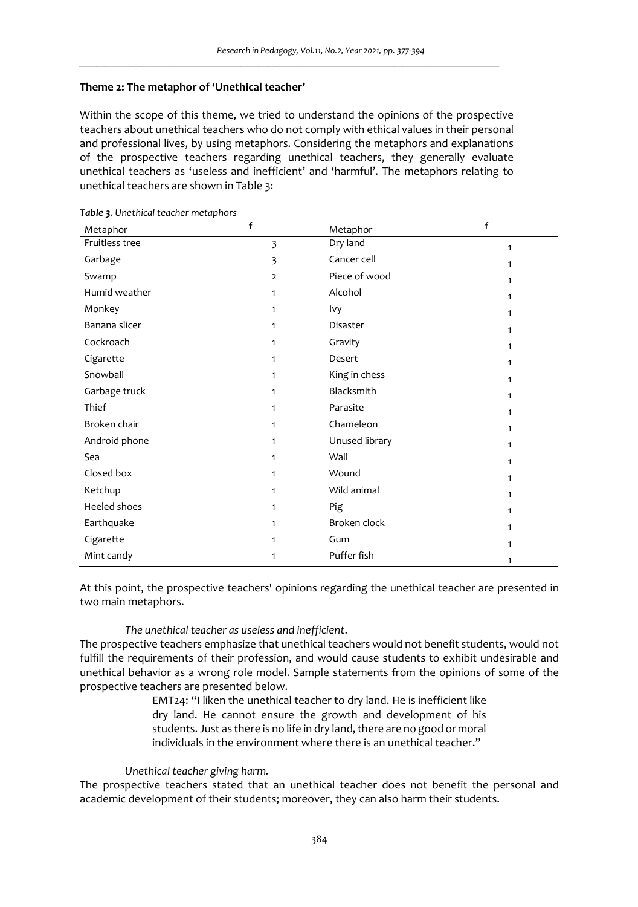## **Theme 2: The metaphor of 'Unethical teacher'**

Within the scope of this theme, we tried to understand the opinions of the prospective teachers about unethical teachers who do not comply with ethical values in their personal and professional lives, by using metaphors. Considering the metaphors and explanations of the prospective teachers regarding unethical teachers, they generally evaluate unethical teachers as 'useless and inefficient' and 'harmful'. The metaphors relating to unethical teachers are shown in Table 3:

*\_\_\_\_\_\_\_\_\_\_\_\_\_\_\_\_\_\_\_\_\_\_\_\_\_\_\_\_\_\_\_\_\_\_\_\_\_\_\_\_\_\_\_\_\_\_\_\_\_\_\_\_\_\_\_\_\_\_\_\_\_\_\_\_\_\_\_\_\_\_\_\_\_\_\_\_\_\_\_\_\_\_\_\_\_\_\_\_\_\_\_\_\_\_\_\_*

| Metaphor       | f              | Metaphor       | f            |
|----------------|----------------|----------------|--------------|
| Fruitless tree | 3              | Dry land       | $\mathbf{1}$ |
| Garbage        | 3              | Cancer cell    | 1            |
| Swamp          | $\overline{2}$ | Piece of wood  | 1            |
| Humid weather  | $\mathbf{1}$   | Alcohol        | 1            |
| Monkey         | $\mathbf{1}$   | Ivy            | 1            |
| Banana slicer  | $\mathbf{1}$   | Disaster       | 1            |
| Cockroach      | $\mathbf{1}$   | Gravity        | 1            |
| Cigarette      | $\mathbf{1}$   | Desert         | 1            |
| Snowball       | 1              | King in chess  | 1            |
| Garbage truck  | $\mathbf{1}$   | Blacksmith     | 1            |
| Thief          | $\mathbf{1}$   | Parasite       | 1            |
| Broken chair   | $\mathbf{1}$   | Chameleon      | 1            |
| Android phone  | 1              | Unused library | 1            |
| Sea            | $\mathbf{1}$   | Wall           | 1            |
| Closed box     | $\mathbf{1}$   | Wound          | $\mathbf{1}$ |
| Ketchup        | $\mathbf{1}$   | Wild animal    | 1            |
| Heeled shoes   | $\mathbf{1}$   | Pig            | 1            |
| Earthquake     | $\mathbf{1}$   | Broken clock   | 1            |
| Cigarette      | 1              | Gum            | 1            |
| Mint candy     | $\mathbf{1}$   | Puffer fish    | 1            |

*Table 3. Unethical teacher metaphors* 

At this point, the prospective teachers' opinions regarding the unethical teacher are presented in two main metaphors.

### *The unethical teacher as useless and inefficient*.

The prospective teachers emphasize that unethical teachers would not benefit students, would not fulfill the requirements of their profession, and would cause students to exhibit undesirable and unethical behavior as a wrong role model. Sample statements from the opinions of some of the prospective teachers are presented below.

> EMT24: "I liken the unethical teacher to dry land. He is inefficient like dry land. He cannot ensure the growth and development of his students. Just as there is no life in dry land, there are no good or moral individuals in the environment where there is an unethical teacher."

#### *Unethical teacher giving harm.*

The prospective teachers stated that an unethical teacher does not benefit the personal and academic development of their students; moreover, they can also harm their students.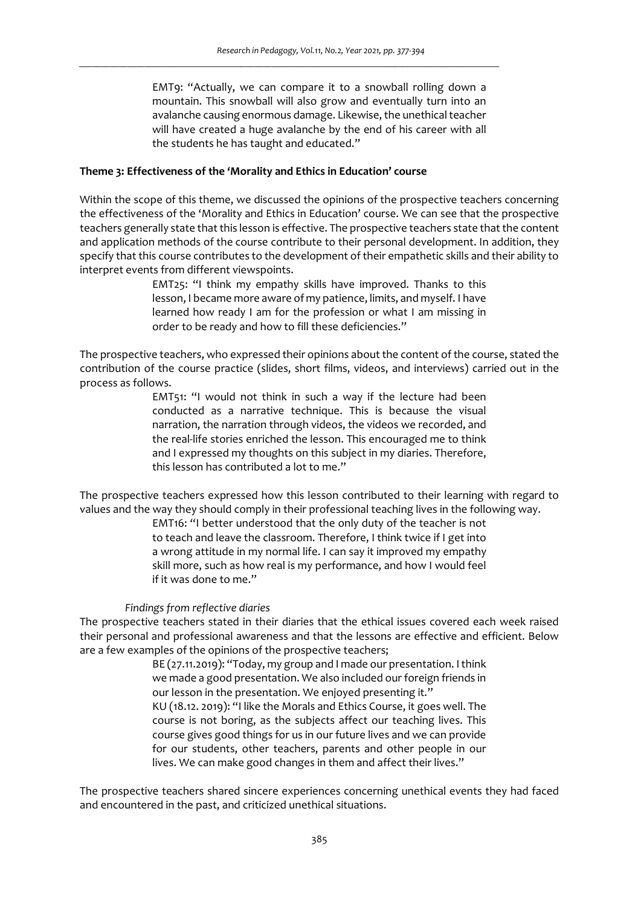EMT9: "Actually, we can compare it to a snowball rolling down a mountain. This snowball will also grow and eventually turn into an avalanche causing enormous damage. Likewise, the unethical teacher will have created a huge avalanche by the end of his career with all the students he has taught and educated."

#### **Theme 3: Effectiveness of the 'Morality and Ethics in Education' course**

Within the scope of this theme, we discussed the opinions of the prospective teachers concerning the effectiveness of the 'Morality and Ethics in Education' course. We can see that the prospective teachers generally state that this lesson is effective. The prospective teachers state that the content and application methods of the course contribute to their personal development. In addition, they specify that this course contributes to the development of their empathetic skills and their ability to interpret events from different viewspoints.

> EMT25: "I think my empathy skills have improved. Thanks to this lesson, I became more aware of my patience, limits, and myself. I have learned how ready I am for the profession or what I am missing in order to be ready and how to fill these deficiencies."

The prospective teachers, who expressed their opinions about the content of the course, stated the contribution of the course practice (slides, short films, videos, and interviews) carried out in the process as follows.

> EMT51: "I would not think in such a way if the lecture had been conducted as a narrative technique. This is because the visual narration, the narration through videos, the videos we recorded, and the real-life stories enriched the lesson. This encouraged me to think and I expressed my thoughts on this subject in my diaries. Therefore, this lesson has contributed a lot to me."

The prospective teachers expressed how this lesson contributed to their learning with regard to values and the way they should comply in their professional teaching lives in the following way.

> EMT16: "I better understood that the only duty of the teacher is not to teach and leave the classroom. Therefore, I think twice if I get into a wrong attitude in my normal life. I can say it improved my empathy skill more, such as how real is my performance, and how I would feel if it was done to me."

## *Findings from reflective diaries*

The prospective teachers stated in their diaries that the ethical issues covered each week raised their personal and professional awareness and that the lessons are effective and efficient. Below are a few examples of the opinions of the prospective teachers;

> BE (27.11.2019): "Today, my group and I made our presentation. I think we made a good presentation. We also included our foreign friends in our lesson in the presentation. We enjoyed presenting it." KU (18.12. 2019): "I like the Morals and Ethics Course, it goes well. The course is not boring, as the subjects affect our teaching lives. This course gives good things for us in our future lives and we can provide for our students, other teachers, parents and other people in our lives. We can make good changes in them and affect their lives."

The prospective teachers shared sincere experiences concerning unethical events they had faced and encountered in the past, and criticized unethical situations.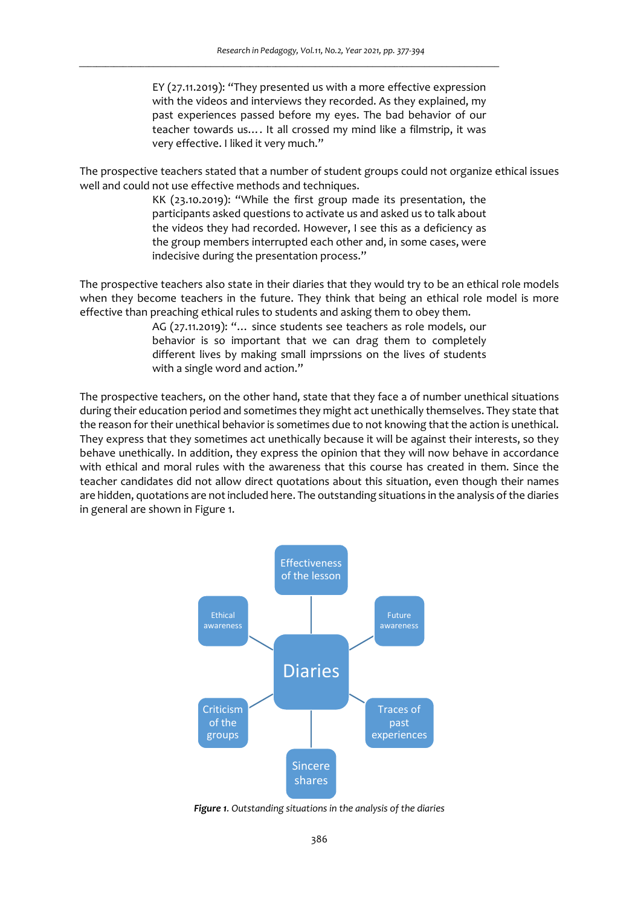EY (27.11.2019): "They presented us with a more effective expression with the videos and interviews they recorded. As they explained, my past experiences passed before my eyes. The bad behavior of our teacher towards us…. It all crossed my mind like a filmstrip, it was very effective. I liked it very much."

The prospective teachers stated that a number of student groups could not organize ethical issues well and could not use effective methods and techniques.

> KK (23.10.2019): "While the first group made its presentation, the participants asked questions to activate us and asked us to talk about the videos they had recorded. However, I see this as a deficiency as the group members interrupted each other and, in some cases, were indecisive during the presentation process."

The prospective teachers also state in their diaries that they would try to be an ethical role models when they become teachers in the future. They think that being an ethical role model is more effective than preaching ethical rules to students and asking them to obey them.

> AG (27.11.2019): "… since students see teachers as role models, our behavior is so important that we can drag them to completely different lives by making small imprssions on the lives of students with a single word and action."

The prospective teachers, on the other hand, state that they face a of number unethical situations during their education period and sometimes they might act unethically themselves. They state that the reason for their unethical behavior is sometimes due to not knowing that the action is unethical. They express that they sometimes act unethically because it will be against their interests, so they behave unethically. In addition, they express the opinion that they will now behave in accordance with ethical and moral rules with the awareness that this course has created in them. Since the teacher candidates did not allow direct quotations about this situation, even though their names are hidden, quotations are not included here. The outstanding situations in the analysis of the diaries in general are shown in Figure 1.



*Figure 1. Outstanding situations in the analysis of the diaries*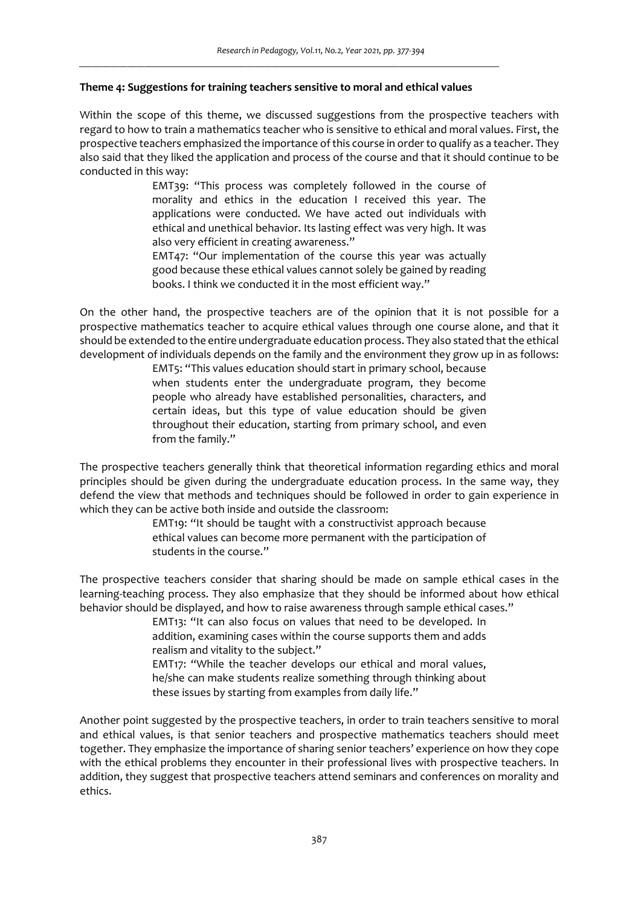### **Theme 4: Suggestions for training teachers sensitive to moral and ethical values**

*\_\_\_\_\_\_\_\_\_\_\_\_\_\_\_\_\_\_\_\_\_\_\_\_\_\_\_\_\_\_\_\_\_\_\_\_\_\_\_\_\_\_\_\_\_\_\_\_\_\_\_\_\_\_\_\_\_\_\_\_\_\_\_\_\_\_\_\_\_\_\_\_\_\_\_\_\_\_\_\_\_\_\_\_\_\_\_\_\_\_\_\_\_\_\_\_*

Within the scope of this theme, we discussed suggestions from the prospective teachers with regard to how to train a mathematics teacher who is sensitive to ethical and moral values. First, the prospective teachers emphasized the importance of this course in order to qualify as a teacher. They also said that they liked the application and process of the course and that it should continue to be conducted in this way:

> EMT39: "This process was completely followed in the course of morality and ethics in the education I received this year. The applications were conducted. We have acted out individuals with ethical and unethical behavior. Its lasting effect was very high. It was also very efficient in creating awareness."

> EMT47: "Our implementation of the course this year was actually good because these ethical values cannot solely be gained by reading books. I think we conducted it in the most efficient way."

On the other hand, the prospective teachers are of the opinion that it is not possible for a prospective mathematics teacher to acquire ethical values through one course alone, and that it should be extended to the entire undergraduate education process. They also stated that the ethical development of individuals depends on the family and the environment they grow up in as follows:

> EMT5: "This values education should start in primary school, because when students enter the undergraduate program, they become people who already have established personalities, characters, and certain ideas, but this type of value education should be given throughout their education, starting from primary school, and even from the family."

The prospective teachers generally think that theoretical information regarding ethics and moral principles should be given during the undergraduate education process. In the same way, they defend the view that methods and techniques should be followed in order to gain experience in which they can be active both inside and outside the classroom:

> EMT19: "It should be taught with a constructivist approach because ethical values can become more permanent with the participation of students in the course."

The prospective teachers consider that sharing should be made on sample ethical cases in the learning-teaching process. They also emphasize that they should be informed about how ethical behavior should be displayed, and how to raise awareness through sample ethical cases."

> EMT13: "It can also focus on values that need to be developed. In addition, examining cases within the course supports them and adds realism and vitality to the subject."

> EMT17: "While the teacher develops our ethical and moral values, he/she can make students realize something through thinking about these issues by starting from examples from daily life."

Another point suggested by the prospective teachers, in order to train teachers sensitive to moral and ethical values, is that senior teachers and prospective mathematics teachers should meet together. They emphasize the importance of sharing senior teachers' experience on how they cope with the ethical problems they encounter in their professional lives with prospective teachers. In addition, they suggest that prospective teachers attend seminars and conferences on morality and ethics.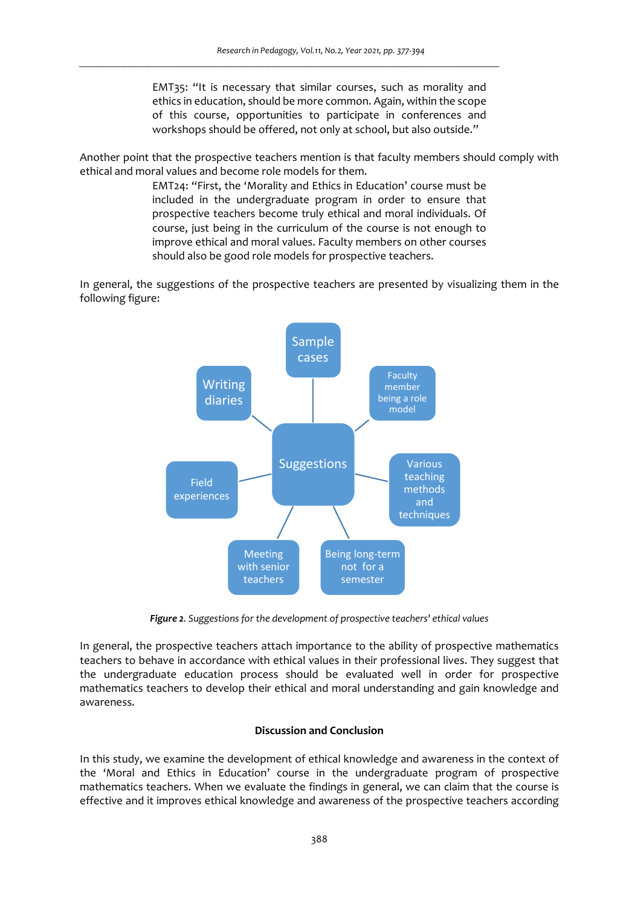EMT35: "It is necessary that similar courses, such as morality and ethics in education, should be more common. Again, within the scope of this course, opportunities to participate in conferences and workshops should be offered, not only at school, but also outside."

Another point that the prospective teachers mention is that faculty members should comply with ethical and moral values and become role models for them.

> EMT24: "First, the 'Morality and Ethics in Education' course must be included in the undergraduate program in order to ensure that prospective teachers become truly ethical and moral individuals. Of course, just being in the curriculum of the course is not enough to improve ethical and moral values. Faculty members on other courses should also be good role models for prospective teachers.

In general, the suggestions of the prospective teachers are presented by visualizing them in the following figure:



*Figure 2. Suggestions for the development of prospective teachers' ethical values* 

In general, the prospective teachers attach importance to the ability of prospective mathematics teachers to behave in accordance with ethical values in their professional lives. They suggest that the undergraduate education process should be evaluated well in order for prospective mathematics teachers to develop their ethical and moral understanding and gain knowledge and awareness.

# **Discussion and Conclusion**

In this study, we examine the development of ethical knowledge and awareness in the context of the 'Moral and Ethics in Education' course in the undergraduate program of prospective mathematics teachers. When we evaluate the findings in general, we can claim that the course is effective and it improves ethical knowledge and awareness of the prospective teachers according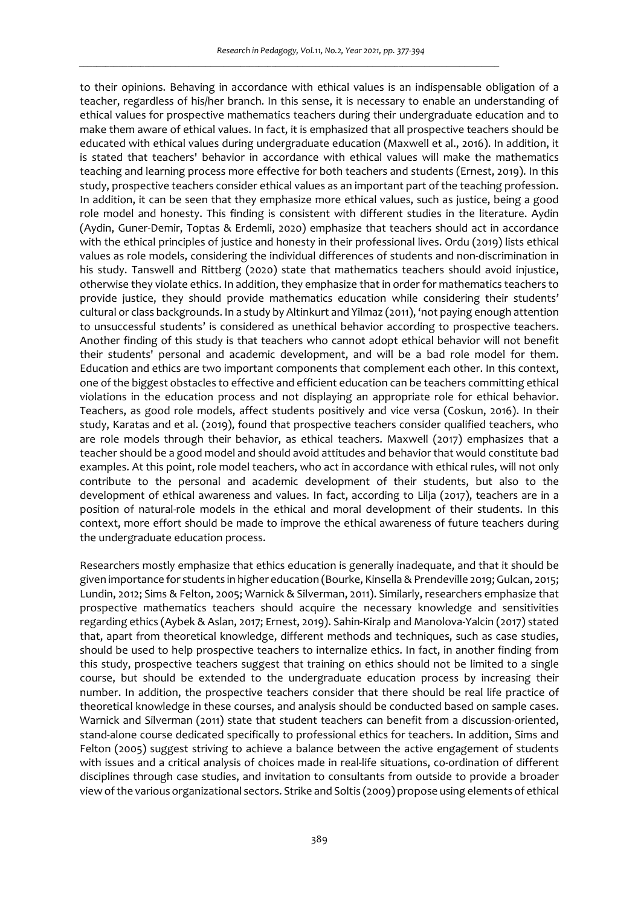to their opinions. Behaving in accordance with ethical values is an indispensable obligation of a teacher, regardless of his/her branch. In this sense, it is necessary to enable an understanding of ethical values for prospective mathematics teachers during their undergraduate education and to make them aware of ethical values. In fact, it is emphasized that all prospective teachers should be educated with ethical values during undergraduate education (Maxwell et al., 2016). In addition, it is stated that teachers' behavior in accordance with ethical values will make the mathematics teaching and learning process more effective for both teachers and students (Ernest, 2019). In this study, prospective teachers consider ethical values as an important part of the teaching profession. In addition, it can be seen that they emphasize more ethical values, such as justice, being a good role model and honesty. This finding is consistent with different studies in the literature. Aydin (Aydin, Guner-Demir, Toptas & Erdemli, 2020) emphasize that teachers should act in accordance with the ethical principles of justice and honesty in their professional lives. Ordu (2019) lists ethical values as role models, considering the individual differences of students and non-discrimination in his study. Tanswell and Rittberg (2020) state that mathematics teachers should avoid injustice, otherwise they violate ethics. In addition, they emphasize that in order for mathematics teachers to provide justice, they should provide mathematics education while considering their students' cultural or class backgrounds. In a study by Altinkurt and Yilmaz (2011), 'not paying enough attention to unsuccessful students' is considered as unethical behavior according to prospective teachers. Another finding of this study is that teachers who cannot adopt ethical behavior will not benefit their students' personal and academic development, and will be a bad role model for them. Education and ethics are two important components that complement each other. In this context, one of the biggest obstacles to effective and efficient education can be teachers committing ethical violations in the education process and not displaying an appropriate role for ethical behavior. Teachers, as good role models, affect students positively and vice versa (Coskun, 2016). In their study, Karatas and et al. (2019), found that prospective teachers consider qualified teachers, who are role models through their behavior, as ethical teachers. Maxwell (2017) emphasizes that a teacher should be a good model and should avoid attitudes and behavior that would constitute bad examples. At this point, role model teachers, who act in accordance with ethical rules, will not only contribute to the personal and academic development of their students, but also to the development of ethical awareness and values. In fact, according to Lilja (2017), teachers are in a position of natural-role models in the ethical and moral development of their students. In this context, more effort should be made to improve the ethical awareness of future teachers during the undergraduate education process.

Researchers mostly emphasize that ethics education is generally inadequate, and that it should be given importance for students in higher education (Bourke, Kinsella & Prendeville 2019; Gulcan, 2015; Lundin, 2012; Sims & Felton, 2005; Warnick & Silverman, 2011). Similarly, researchers emphasize that prospective mathematics teachers should acquire the necessary knowledge and sensitivities regarding ethics (Aybek & Aslan, 2017; Ernest, 2019). Sahin-Kiralp and Manolova-Yalcin (2017) stated that, apart from theoretical knowledge, different methods and techniques, such as case studies, should be used to help prospective teachers to internalize ethics. In fact, in another finding from this study, prospective teachers suggest that training on ethics should not be limited to a single course, but should be extended to the undergraduate education process by increasing their number. In addition, the prospective teachers consider that there should be real life practice of theoretical knowledge in these courses, and analysis should be conducted based on sample cases. Warnick and Silverman (2011) state that student teachers can benefit from a discussion-oriented, stand-alone course dedicated specifically to professional ethics for teachers. In addition, Sims and Felton (2005) suggest striving to achieve a balance between the active engagement of students with issues and a critical analysis of choices made in real-life situations, co-ordination of different disciplines through case studies, and invitation to consultants from outside to provide a broader view of the various organizational sectors. Strike and Soltis (2009) propose using elements of ethical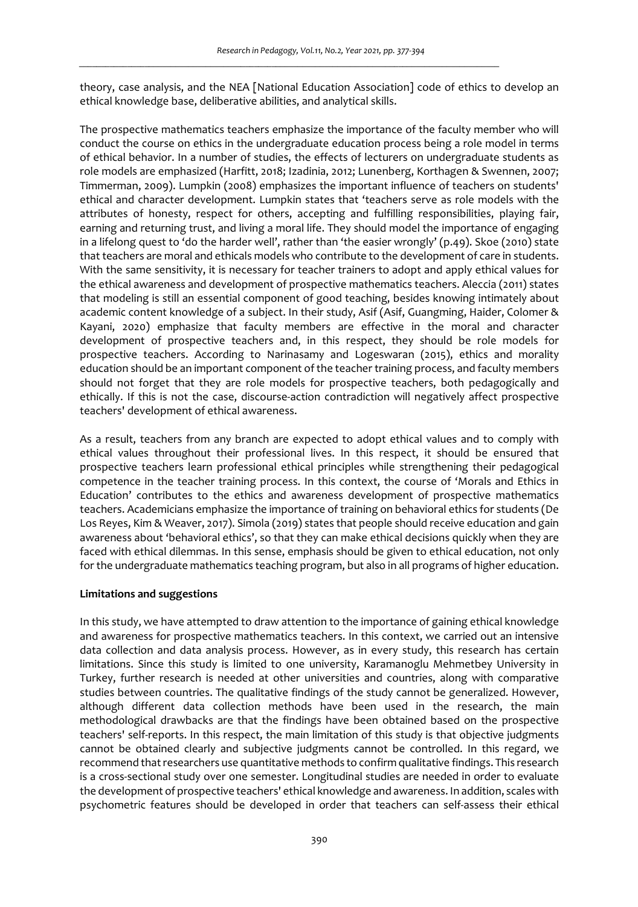theory, case analysis, and the NEA [National Education Association] code of ethics to develop an ethical knowledge base, deliberative abilities, and analytical skills.

The prospective mathematics teachers emphasize the importance of the faculty member who will conduct the course on ethics in the undergraduate education process being a role model in terms of ethical behavior. In a number of studies, the effects of lecturers on undergraduate students as role models are emphasized (Harfitt, 2018; Izadinia, 2012; Lunenberg, Korthagen & Swennen, 2007; Timmerman, 2009). Lumpkin (2008) emphasizes the important influence of teachers on students' ethical and character development. Lumpkin states that 'teachers serve as role models with the attributes of honesty, respect for others, accepting and fulfilling responsibilities, playing fair, earning and returning trust, and living a moral life. They should model the importance of engaging in a lifelong quest to 'do the harder well', rather than 'the easier wrongly' (p.49). Skoe (2010) state that teachers are moral and ethicals models who contribute to the development of care in students. With the same sensitivity, it is necessary for teacher trainers to adopt and apply ethical values for the ethical awareness and development of prospective mathematics teachers. Aleccia (2011) states that modeling is still an essential component of good teaching, besides knowing intimately about academic content knowledge of a subject. In their study, Asif (Asif, Guangming, Haider, Colomer & Kayani, 2020) emphasize that faculty members are effective in the moral and character development of prospective teachers and, in this respect, they should be role models for prospective teachers. According to Narinasamy and Logeswaran (2015), ethics and morality education should be an important component of the teacher training process, and faculty members should not forget that they are role models for prospective teachers, both pedagogically and ethically. If this is not the case, discourse-action contradiction will negatively affect prospective teachers' development of ethical awareness.

As a result, teachers from any branch are expected to adopt ethical values and to comply with ethical values throughout their professional lives. In this respect, it should be ensured that prospective teachers learn professional ethical principles while strengthening their pedagogical competence in the teacher training process. In this context, the course of 'Morals and Ethics in Education' contributes to the ethics and awareness development of prospective mathematics teachers. Academicians emphasize the importance of training on behavioral ethics for students (De Los Reyes, Kim & Weaver, 2017). Simola (2019) states that people should receive education and gain awareness about 'behavioral ethics', so that they can make ethical decisions quickly when they are faced with ethical dilemmas. In this sense, emphasis should be given to ethical education, not only for the undergraduate mathematics teaching program, but also in all programs of higher education.

## **Limitations and suggestions**

In this study, we have attempted to draw attention to the importance of gaining ethical knowledge and awareness for prospective mathematics teachers. In this context, we carried out an intensive data collection and data analysis process. However, as in every study, this research has certain limitations. Since this study is limited to one university, Karamanoglu Mehmetbey University in Turkey, further research is needed at other universities and countries, along with comparative studies between countries. The qualitative findings of the study cannot be generalized. However, although different data collection methods have been used in the research, the main methodological drawbacks are that the findings have been obtained based on the prospective teachers' self-reports. In this respect, the main limitation of this study is that objective judgments cannot be obtained clearly and subjective judgments cannot be controlled. In this regard, we recommend that researchers use quantitative methods to confirm qualitative findings. This research is a cross-sectional study over one semester. Longitudinal studies are needed in order to evaluate the development of prospective teachers' ethical knowledge and awareness. In addition, scales with psychometric features should be developed in order that teachers can self-assess their ethical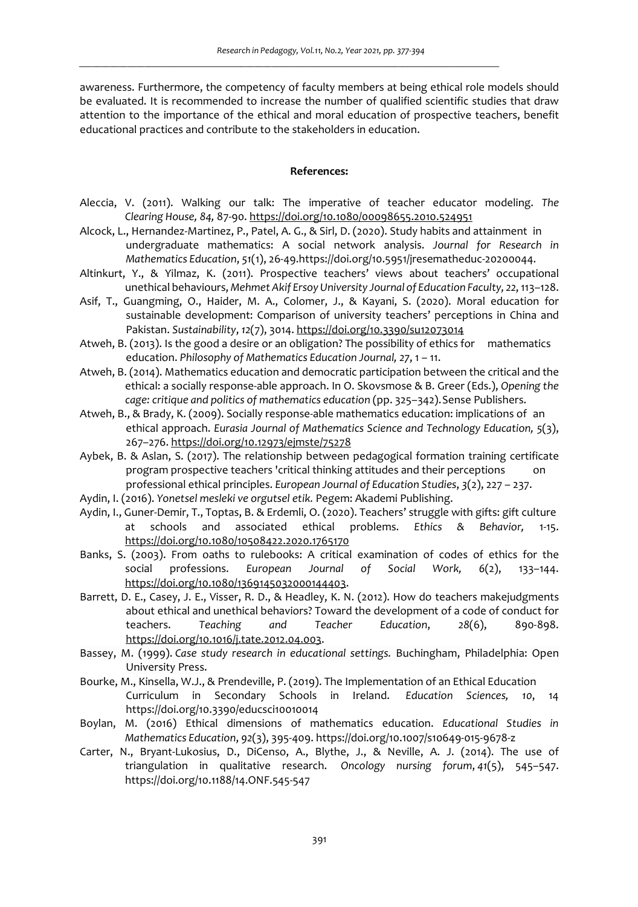awareness. Furthermore, the competency of faculty members at being ethical role models should be evaluated. It is recommended to increase the number of qualified scientific studies that draw attention to the importance of the ethical and moral education of prospective teachers, benefit educational practices and contribute to the stakeholders in education.

#### **References:**

- Aleccia, V. (2011). Walking our talk: The imperative of teacher educator modeling. *The Clearing House, 84,* 87-90. https://doi.org/10.1080/00098655.2010.524951
- Alcock, L., Hernandez-Martinez, P., Patel, A. G., & Sirl, D. (2020). Study habits and attainment in undergraduate mathematics: A social network analysis. *Journal for Research in Mathematics Education*, *51*(1), 26-49.https://doi.org/10.5951/jresematheduc-20200044.
- Altinkurt, Y., & Yilmaz, K. (2011). Prospective teachers' views about teachers' occupational unethical behaviours, *Mehmet Akif Ersoy University Journal of Education Faculty, 22*, 113–128.
- Asif, T., Guangming, O., Haider, M. A., Colomer, J., & Kayani, S. (2020). Moral education for sustainable development: Comparison of university teachers' perceptions in China and Pakistan. *Sustainability*, *12*(7), 3014. https://doi.org/10.3390/su12073014
- Atweh, B. (2013). Is the good a desire or an obligation? The possibility of ethics for mathematics education. *Philosophy of Mathematics Education Journal, 27*, 1 – 11.
- Atweh, B. (2014). Mathematics education and democratic participation between the critical and the ethical: a socially response-able approach. In O. Skovsmose & B. Greer (Eds.), *Opening the cage: critique and politics of mathematics education* (pp. 325–342). Sense Publishers.
- Atweh, B., & Brady, K. (2009). Socially response-able mathematics education: implications of an ethical approach. *Eurasia Journal of Mathematics Science and Technology Education, 5*(3), 267–276. https://doi.org/10.12973/ejmste/75278
- Aybek, B. & Aslan, S. (2017). The relationship between pedagogical formation training certificate program prospective teachers 'critical thinking attitudes and their perceptions on professional ethical principles. *European Journal of Education Studies*, *3*(2), 227 – 237.
- Aydin, I. (2016). *Yonetsel mesleki ve orgutsel etik.* Pegem: Akademi Publishing.
- Aydin, I., Guner-Demir, T., Toptas, B. & Erdemli, O. (2020). Teachers' struggle with gifts: gift culture at schools and associated ethical problems. *Ethics & Behavior,* 1-15. https://doi.org/10.1080/10508422.2020.1765170
- Banks, S. (2003). From oaths to rulebooks: A critical examination of codes of ethics for the social professions. *European Journal of Social Work, 6*(2), 133–144. https://doi.org/10.1080/1369145032000144403.
- Barrett, D. E., Casey, J. E., Visser, R. D., & Headley, K. N. (2012). How do teachers makejudgments about ethical and unethical behaviors? Toward the development of a code of conduct for teachers. *Teaching and Teacher Education*, *28*(6), 890-898. https://doi.org/10.1016/j.tate.2012.04.003.
- Bassey, M. (1999). *Case study research in educational settings.* Buchingham, Philadelphia: Open University Press.
- Bourke, M., Kinsella, W.J., & Prendeville, P. (2019). The Implementation of an Ethical Education Curriculum in Secondary Schools in Ireland. *Education Sciences, 10*, 14 https://doi.org/10.3390/educsci10010014
- Boylan, M. (2016) Ethical dimensions of mathematics education. *Educational Studies in Mathematics Education*, *92*(3), 395-409. https://doi.org/10.1007/s10649-015-9678-z
- Carter, N., Bryant-Lukosius, D., DiCenso, A., Blythe, J., & Neville, A. J. (2014). The use of triangulation in qualitative research. *Oncology nursing forum*, *41*(5), 545–547. https://doi.org/10.1188/14.ONF.545-547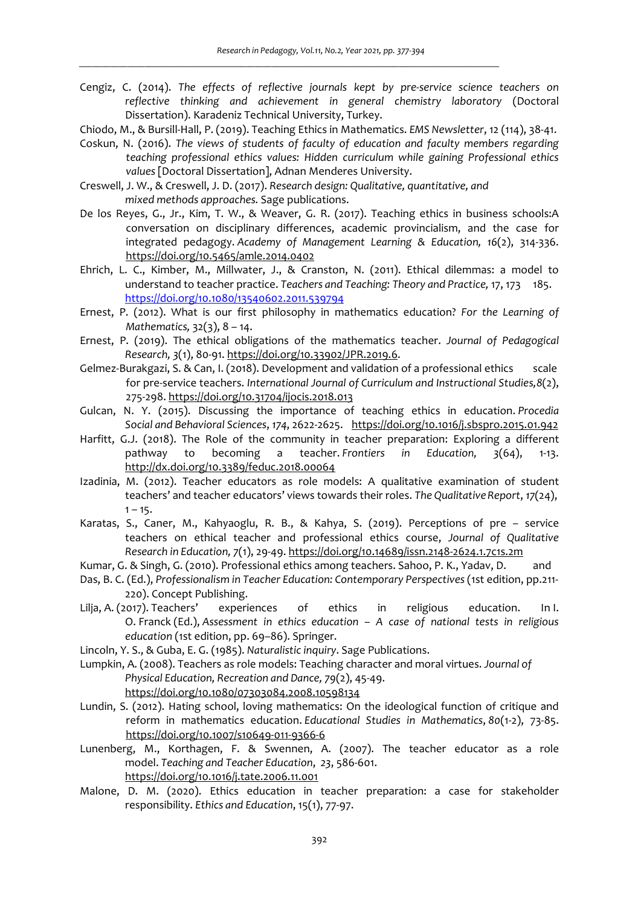- Cengiz, C. (2014). *The effects of reflective journals kept by pre-service science teachers on reflective thinking and achievement in general chemistry laboratory* (Doctoral Dissertation). Karadeniz Technical University, Turkey.
- Chiodo, M., & Bursill-Hall, P. (2019). Teaching Ethics in Mathematics. *EMS Newsletter*, 12 (114), 38-41.
- Coskun, N. (2016). *The views of students of faculty of education and faculty members regarding teaching professional ethics values: Hidden curriculum while gaining Professional ethics values* [Doctoral Dissertation], Adnan Menderes University.
- Creswell, J. W., & Creswell, J. D. (2017). *Research design: Qualitative, quantitative, and mixed methods approaches.* Sage publications.

- De los Reyes, G., Jr., Kim, T. W., & Weaver, G. R. (2017). Teaching ethics in business schools:A conversation on disciplinary differences, academic provincialism, and the case for integrated pedagogy. *Academy of Management Learning & Education, 16*(2), 314-336. https://doi.org/10.5465/amle.2014.0402
- Ehrich, L. C., Kimber, M., Millwater, J., & Cranston, N. (2011). Ethical dilemmas: a model to understand to teacher practice. *Teachers and Teaching: Theory and Practice,* 17, 173 185. https://doi.org/10.1080/13540602.2011.539794
- Ernest, P. (2012). What is our first philosophy in mathematics education? *For the Learning of Mathematics,* 32(3), 8 – 14.
- Ernest, P. (2019). The ethical obligations of the mathematics teacher. *Journal of Pedagogical Research, 3*(1), 80-91. https://doi.org/10.33902/JPR.2019.6.
- Gelmez-Burakgazi, S. & Can, I. (2018). Development and validation of a professional ethics scale for pre-service teachers. *International Journal of Curriculum and Instructional Studies,8*(2), 275-298. https://doi.org/10.31704/ijocis.2018.013
- Gulcan, N. Y. (2015). Discussing the importance of teaching ethics in education. *Procedia Social and Behavioral Sciences*, *174*, 2622-2625. https://doi.org/10.1016/j.sbspro.2015.01.942
- Harfitt, G.J. (2018). The Role of the community in teacher preparation: Exploring a different pathway to becoming a teacher. *Frontiers in Education, 3*(64), 1-13. http://dx.doi.org/10.3389/feduc.2018.00064
- Izadinia, M. (2012). Teacher educators as role models: A qualitative examination of student teachers' and teacher educators' views towards their roles. *The Qualitative Report*, *17*(24),  $1 - 15.$
- Karatas, S., Caner, M., Kahyaoglu, R. B., & Kahya, S. (2019). Perceptions of pre service teachers on ethical teacher and professional ethics course, *Journal of Qualitative Research in Education, 7*(1), 29-49. https://doi.org/10.14689/issn.2148-2624.1.7c1s.2m
- Kumar, G. & Singh, G. (2010). Professional ethics among teachers. Sahoo, P. K., Yadav, D. and
- Das, B. C. (Ed.), *Professionalism in Teacher Education: Contemporary Perspectives* (1st edition, pp.211-220). Concept Publishing.
- Lilja, A. (2017). Teachers' experiences of ethics in religious education. In I. O. Franck (Ed.), *Assessment in ethics education – A case of national tests in religious education* (1st edition, pp. 69–86). Springer.
- Lincoln, Y. S., & Guba, E. G. (1985). *Naturalistic inquiry*. Sage Publications.
- Lumpkin, A. (2008). Teachers as role models: Teaching character and moral virtues. *Journal of Physical Education, Recreation and Dance, 79*(2), 45-49. https://doi.org/10.1080/07303084.2008.10598134
- Lundin, S. (2012). Hating school, loving mathematics: On the ideological function of critique and reform in mathematics education. *Educational Studies in Mathematics*, *80*(1-2), 73-85. https://doi.org/10.1007/s10649-011-9366-6
- Lunenberg, M., Korthagen, F. & Swennen, A. (2007). The teacher educator as a role model. *Teaching and Teacher Education*, *23*, 586-601. https://doi.org/10.1016/j.tate.2006.11.001
- Malone, D. M. (2020). Ethics education in teacher preparation: a case for stakeholder responsibility. *Ethics and Education*, 15(1), 77-97.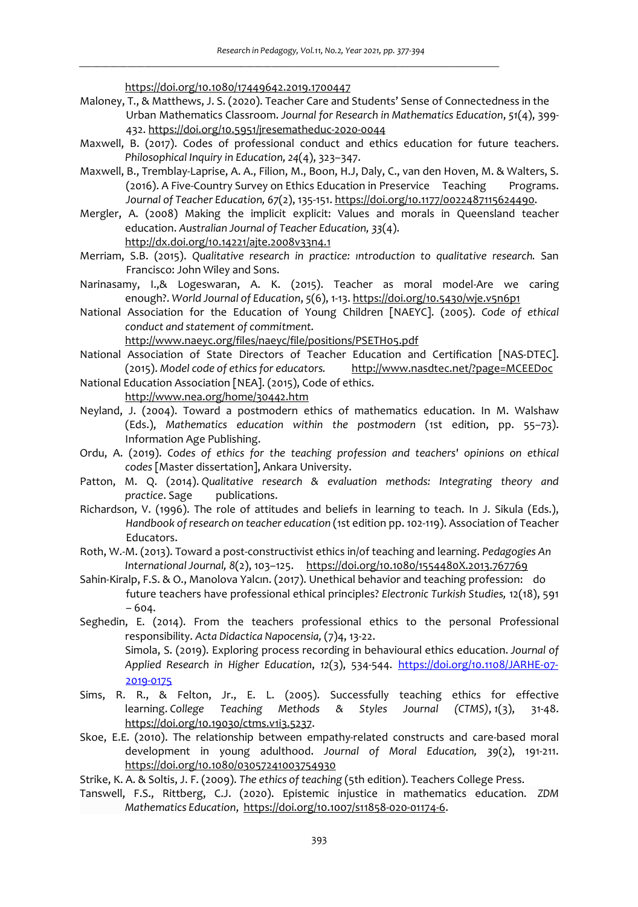https://doi.org/10.1080/17449642.2019.1700447

- Maloney, T., & Matthews, J. S. (2020). Teacher Care and Students' Sense of Connectedness in the Urban Mathematics Classroom. *Journal for Research in Mathematics Education*, *51*(4), 399- 432. https://doi.org/10.5951/jresematheduc-2020-0044
- Maxwell, B. (2017). Codes of professional conduct and ethics education for future teachers. *Philosophical Inquiry in Education, 24*(4), 323–347.
- Maxwell, B., Tremblay-Laprise, A. A., Filion, M., Boon, H.J, Daly, C., van den Hoven, M. & Walters, S. (2016). A Five-Country Survey on Ethics Education in Preservice Teaching Programs. *Journal of Teacher Education, 67*(2), 135-151. https://doi.org/10.1177/0022487115624490.
- Mergler, A. (2008) Making the implicit explicit: Values and morals in Queensland teacher education. *Australian Journal of Teacher Education, 33*(4).

http://dx.doi.org/10.14221/ajte.2008v33n4.1

- Merriam, S.B. (2015). *Qualitative research in practice: ıntroduction to qualitative research.* San Francisco: John Wiley and Sons.
- Narinasamy, I.,& Logeswaran, A. K. (2015). Teacher as moral model-Are we caring enough?. *World Journal of Education*, *5*(6), 1-13. https://doi.org/10.5430/wje.v5n6p1
- National Association for the Education of Young Children [NAEYC]. (2005). *Code of ethical conduct and statement of commitment.*

http://www.naeyc.org/files/naeyc/file/positions/PSETH05.pdf

- National Association of State Directors of Teacher Education and Certification [NAS-DTEC]. (2015). *Model code of ethics for educators.* http://www.nasdtec.net/?page=MCEEDoc
- National Education Association [NEA]. (2015), Code of ethics. http://www.nea.org/home/30442.htm
- Neyland, J. (2004). Toward a postmodern ethics of mathematics education. In M. Walshaw (Eds.), *Mathematics education within the postmodern* (1st edition, pp. 55–73). Information Age Publishing.
- Ordu, A. (2019). *Codes of ethics for the teaching profession and teachers' opinions on ethical codes* [Master dissertation], Ankara University.
- Patton, M. Q. (2014). *Qualitative research & evaluation methods: Integrating theory and practice*. Sage publications.
- Richardson, V. (1996). The role of attitudes and beliefs in learning to teach. In J. Sikula (Eds.), *Handbook of research on teacher education* (1st edition pp. 102-119). Association of Teacher Educators.
- Roth, W.-M. (2013). Toward a post-constructivist ethics in/of teaching and learning. *Pedagogies An International Journal, 8*(2), 103–125. https://doi.org/10.1080/1554480X.2013.767769
- Sahin-Kiralp, F.S. & O., Manolova Yalcın. (2017). Unethical behavior and teaching profession: do future teachers have professional ethical principles? *Electronic Turkish Studies,* 12(18), 591 – 604.
- Seghedin, E. (2014). From the teachers professional ethics to the personal Professional responsibility. *Acta Didactica Napocensia,* (7)4, 13-22.
	- Simola, S. (2019). Exploring process recording in behavioural ethics education. *Journal of Applied Research in Higher Education*, *12*(3), 534-544. https://doi.org/10.1108/JARHE-07- 2019-0175
- Sims, R. R., & Felton, Jr., E. L. (2005). Successfully teaching ethics for effective learning. *College Teaching Methods & Styles Journal (CTMS)*, *1*(3), 31-48. https://doi.org/10.19030/ctms.v1i3.5237.
- Skoe, E.E. (2010). The relationship between empathy-related constructs and care-based moral development in young adulthood. *Journal of Moral Education, 39*(2), 191-211. https://doi.org/10.1080/03057241003754930
- Strike, K. A. & Soltis, J. F. (2009). *The ethics of teaching* (5th edition). Teachers College Press.
- Tanswell, F.S., Rittberg, C.J. (2020). Epistemic injustice in mathematics education. *ZDM Mathematics Education*, https://doi.org/10.1007/s11858-020-01174-6.